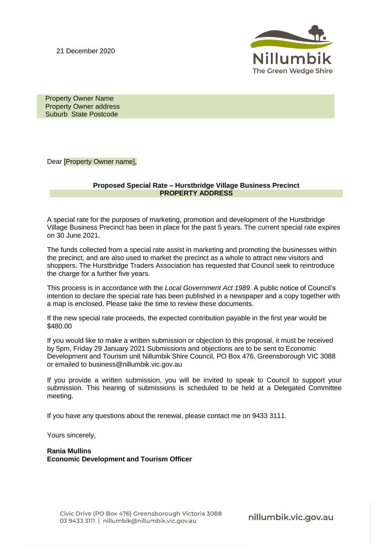21 December 2020



 Property Owner Name Property Owner address Suburb State Postcode

Dear [Property Owner name],

## **Proposed Special Rate – Hurstbridge Village Business Precinct PROPERTY ADDRESS**

A special rate for the purposes of marketing, promotion and development of the Hurstbridge Village Business Precinct has been in place for the past 5 years. The current special rate expires on 30 June 2021.

The funds collected from a special rate assist in marketing and promoting the businesses within the precinct, and are also used to market the precinct as a whole to attract new visitors and shoppers. The Hurstbridge Traders Association has requested that Council seek to reintroduce the charge for a further five years.

This process is in accordance with the *Local Government Act 1989*. A public notice of Council's intention to declare the special rate has been published in a newspaper and a copy together with a map is enclosed. Please take the time to review these documents.

If the new special rate proceeds, the expected contribution payable in the first year would be \$480.00

If you would like to make a written submission or objection to this proposal, it must be received by 5pm, Friday 29 January 2021 Submissions and objections are to be sent to Economic Development and Tourism unit Nillumbik Shire Council, PO Box 476, Greensborough VIC 3088 or emailed to business@nillumbik.vic.gov.au

If you provide a written submission, you will be invited to speak to Council to support your submission. This hearing of submissions is scheduled to be held at a Delegated Committee meeting.

If you have any questions about the renewal, please contact me on 9433 3111.

Yours sincerely,

**Rania Mullins Economic Development and Tourism Officer**

nillumbik.vic.gov.au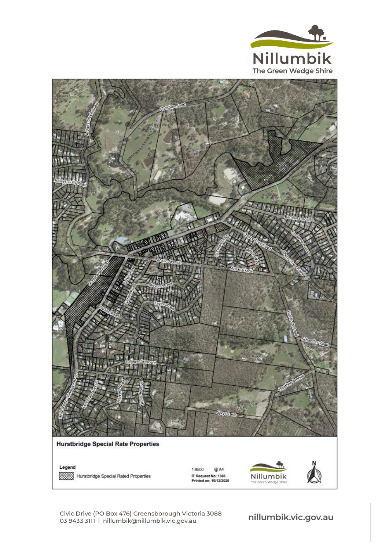



Legend Hurstbridge Special Rated Properties

1:8500 @ A4 IT Request No: 1366<br>Printed on: 10/12/2020



Civic Drive (PO Box 476) Greensborough Victoria 3088 03 9433 3111 | nillumbik@nillumbik.vic.gov.au

nillumbik.vic.gov.au